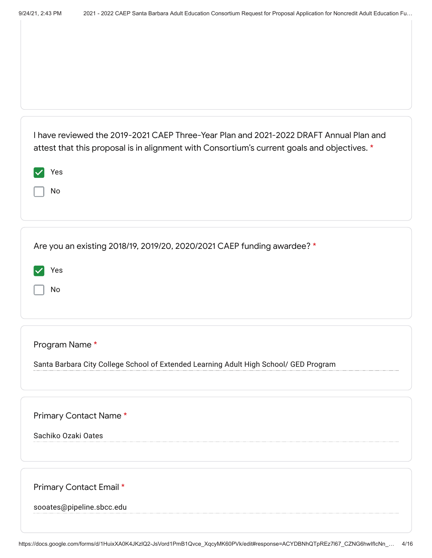| I have reviewed the 2019-2021 CAEP Three-Year Plan and 2021-2022 DRAFT Annual Plan and<br>attest that this proposal is in alignment with Consortium's current goals and objectives. *<br>Yes<br>No |
|----------------------------------------------------------------------------------------------------------------------------------------------------------------------------------------------------|
| Are you an existing 2018/19, 2019/20, 2020/2021 CAEP funding awardee? *<br>Yes<br>No                                                                                                               |
| Program Name*<br>Santa Barbara City College School of Extended Learning Adult High School/ GED Program                                                                                             |
| Primary Contact Name*<br>Sachiko Ozaki Oates                                                                                                                                                       |
| Primary Contact Email *<br>sooates@pipeline.sbcc.edu                                                                                                                                               |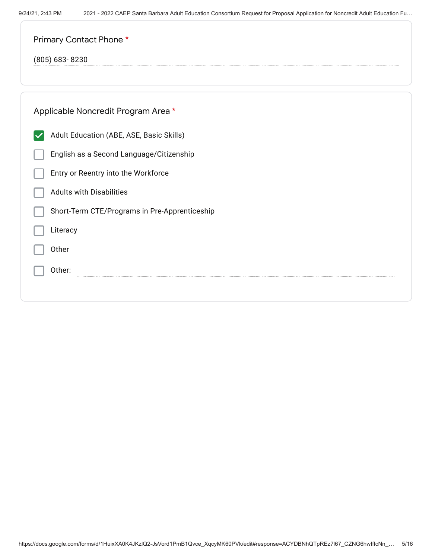Other:

| Primary Contact Phone *                       |
|-----------------------------------------------|
| $(805)$ 683-8230                              |
|                                               |
| Applicable Noncredit Program Area *           |
| Adult Education (ABE, ASE, Basic Skills)      |
| English as a Second Language/Citizenship      |
| Entry or Reentry into the Workforce           |
| <b>Adults with Disabilities</b>               |
| Short-Term CTE/Programs in Pre-Apprenticeship |
| Literacy                                      |
| Other                                         |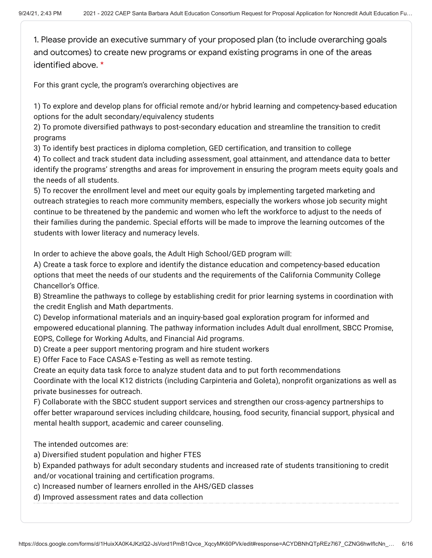1. Please provide an executive summary of your proposed plan (to include overarching goals and outcomes) to create new programs or expand existing programs in one of the areas identified above. \*

For this grant cycle, the program's overarching objectives are

1) To explore and develop plans for official remote and/or hybrid learning and competency-based education options for the adult secondary/equivalency students

2) To promote diversified pathways to post-secondary education and streamline the transition to credit programs

3) To identify best practices in diploma completion, GED certification, and transition to college

4) To collect and track student data including assessment, goal attainment, and attendance data to better identify the programs' strengths and areas for improvement in ensuring the program meets equity goals and the needs of all students.

5) To recover the enrollment level and meet our equity goals by implementing targeted marketing and outreach strategies to reach more community members, especially the workers whose job security might continue to be threatened by the pandemic and women who left the workforce to adjust to the needs of their families during the pandemic. Special efforts will be made to improve the learning outcomes of the students with lower literacy and numeracy levels.

In order to achieve the above goals, the Adult High School/GED program will:

A) Create a task force to explore and identify the distance education and competency-based education options that meet the needs of our students and the requirements of the California Community College Chancellor's Office.

B) Streamline the pathways to college by establishing credit for prior learning systems in coordination with the credit English and Math departments.

C) Develop informational materials and an inquiry-based goal exploration program for informed and empowered educational planning. The pathway information includes Adult dual enrollment, SBCC Promise, EOPS, College for Working Adults, and Financial Aid programs.

D) Create a peer support mentoring program and hire student workers

E) Offer Face to Face CASAS e-Testing as well as remote testing.

Create an equity data task force to analyze student data and to put forth recommendations Coordinate with the local K12 districts (including Carpinteria and Goleta), nonprofit organizations as well as private businesses for outreach.

F) Collaborate with the SBCC student support services and strengthen our cross-agency partnerships to offer better wraparound services including childcare, housing, food security, financial support, physical and mental health support, academic and career counseling.

The intended outcomes are:

a) Diversified student population and higher FTES

b) Expanded pathways for adult secondary students and increased rate of students transitioning to credit and/or vocational training and certification programs.

c) Increased number of learners enrolled in the AHS/GED classes

d) Improved assessment rates and data collection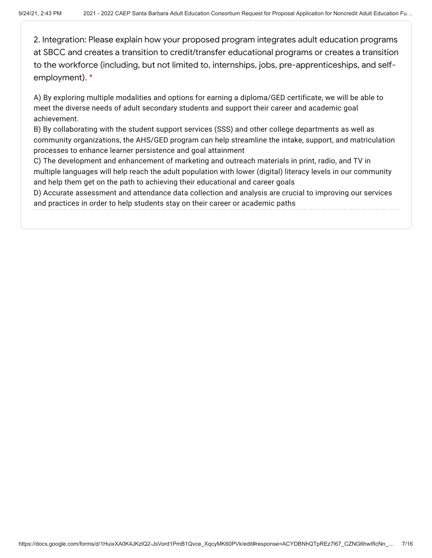2. Integration: Please explain how your proposed program integrates adult education programs at SBCC and creates a transition to credit/transfer educational programs or creates a transition to the workforce (including, but not limited to, internships, jobs, pre-apprenticeships, and selfemployment). \*

A) By exploring multiple modalities and options for earning a diploma/GED certificate, we will be able to meet the diverse needs of adult secondary students and support their career and academic goal achievement.

B) By collaborating with the student support services (SSS) and other college departments as well as community organizations, the AHS/GED program can help streamline the intake, support, and matriculation processes to enhance learner persistence and goal attainment

C) The development and enhancement of marketing and outreach materials in print, radio, and TV in multiple languages will help reach the adult population with lower (digital) literacy levels in our community and help them get on the path to achieving their educational and career goals

D) Accurate assessment and attendance data collection and analysis are crucial to improving our services and practices in order to help students stay on their career or academic paths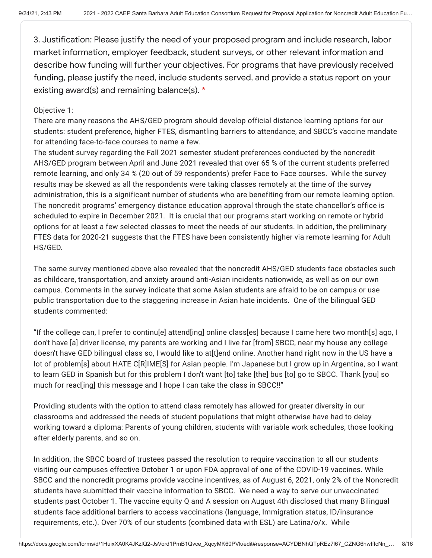3. Justification: Please justify the need of your proposed program and include research, labor market information, employer feedback, student surveys, or other relevant information and describe how funding will further your objectives. For programs that have previously received funding, please justify the need, include students served, and provide a status report on your existing award(s) and remaining balance(s). \*

## Objective 1:

There are many reasons the AHS/GED program should develop official distance learning options for our students: student preference, higher FTES, dismantling barriers to attendance, and SBCC's vaccine mandate for attending face-to-face courses to name a few.

The student survey regarding the Fall 2021 semester student preferences conducted by the noncredit AHS/GED program between April and June 2021 revealed that over 65 % of the current students preferred remote learning, and only 34 % (20 out of 59 respondents) prefer Face to Face courses. While the survey results may be skewed as all the respondents were taking classes remotely at the time of the survey administration, this is a significant number of students who are benefiting from our remote learning option. The noncredit programs' emergency distance education approval through the state chancellor's office is scheduled to expire in December 2021. It is crucial that our programs start working on remote or hybrid options for at least a few selected classes to meet the needs of our students. In addition, the preliminary FTES data for 2020-21 suggests that the FTES have been consistently higher via remote learning for Adult HS/GED.

The same survey mentioned above also revealed that the noncredit AHS/GED students face obstacles such as childcare, transportation, and anxiety around anti-Asian incidents nationwide, as well as on our own campus. Comments in the survey indicate that some Asian students are afraid to be on campus or use public transportation due to the staggering increase in Asian hate incidents. One of the bilingual GED students commented:

"If the college can, I prefer to continu[e] attend[ing] online class[es] because I came here two month[s] ago, I don't have [a] driver license, my parents are working and I live far [from] SBCC, near my house any college doesn't have GED bilingual class so, I would like to at[t]end online. Another hand right now in the US have a lot of problem[s] about HATE C[R]IME[S] for Asian people. I'm Japanese but I grow up in Argentina, so I want to learn GED in Spanish but for this problem I don't want [to] take [the] bus [to] go to SBCC. Thank [you] so much for read[ing] this message and I hope I can take the class in SBCC!!"

Providing students with the option to attend class remotely has allowed for greater diversity in our classrooms and addressed the needs of student populations that might otherwise have had to delay working toward a diploma: Parents of young children, students with variable work schedules, those looking after elderly parents, and so on.

In addition, the SBCC board of trustees passed the resolution to require vaccination to all our students visiting our campuses effective October 1 or upon FDA approval of one of the COVID-19 vaccines. While SBCC and the noncredit programs provide vaccine incentives, as of August 6, 2021, only 2% of the Noncredit students have submitted their vaccine information to SBCC. We need a way to serve our unvaccinated students past October 1. The vaccine equity Q and A session on August 4th disclosed that many Bilingual students face additional barriers to access vaccinations (language, Immigration status, ID/insurance requirements, etc.). Over 70% of our students (combined data with ESL) are Latina/o/x. While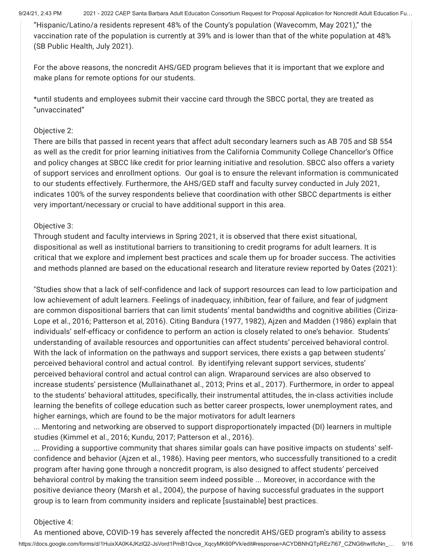9/24/21, 2:43 PM 2021 - 2022 CAEP Santa Barbara Adult Education Consortium Request for Proposal Application for Noncredit Adult Education Fu...

"Hispanic/Latino/a residents represent 48% of the County's population (Wavecomm, May 2021)," the vaccination rate of the population is currently at 39% and is lower than that of the white population at 48% (SB Public Health, July 2021).

For the above reasons, the noncredit AHS/GED program believes that it is important that we explore and make plans for remote options for our students.

\*until students and employees submit their vaccine card through the SBCC portal, they are treated as "unvaccinated"

# Objective 2:

There are bills that passed in recent years that affect adult secondary learners such as AB 705 and SB 554 as well as the credit for prior learning initiatives from the California Community College Chancellor's Office and policy changes at SBCC like credit for prior learning initiative and resolution. SBCC also offers a variety of support services and enrollment options. Our goal is to ensure the relevant information is communicated to our students effectively. Furthermore, the AHS/GED staff and faculty survey conducted in July 2021, indicates 100% of the survey respondents believe that coordination with other SBCC departments is either very important/necessary or crucial to have additional support in this area.

## Objective 3:

Through student and faculty interviews in Spring 2021, it is observed that there exist situational, dispositional as well as institutional barriers to transitioning to credit programs for adult learners. It is critical that we explore and implement best practices and scale them up for broader success. The activities and methods planned are based on the educational research and literature review reported by Oates (2021):

"Studies show that a lack of self-confidence and lack of support resources can lead to low participation and low achievement of adult learners. Feelings of inadequacy, inhibition, fear of failure, and fear of judgment are common dispositional barriers that can limit students' mental bandwidths and cognitive abilities (Ciriza-Lope et al., 2016; Patterson et al, 2016). Citing Bandura (1977, 1982), Ajzen and Madden (1986) explain that individuals' self-efficacy or confidence to perform an action is closely related to one's behavior. Students' understanding of available resources and opportunities can affect students' perceived behavioral control. With the lack of information on the pathways and support services, there exists a gap between students' perceived behavioral control and actual control. By identifying relevant support services, students' perceived behavioral control and actual control can align. Wraparound services are also observed to increase students' persistence (Mullainathanet al., 2013; Prins et al., 2017). Furthermore, in order to appeal to the students' behavioral attitudes, specifically, their instrumental attitudes, the in-class activities include learning the benefits of college education such as better career prospects, lower unemployment rates, and higher earnings, which are found to be the major motivators for adult learners

... Mentoring and networking are observed to support disproportionately impacted (DI) learners in multiple studies (Kimmel et al., 2016; Kundu, 2017; Patterson et al., 2016).

... Providing a supportive community that shares similar goals can have positive impacts on students' selfconfidence and behavior (Ajzen et al., 1986). Having peer mentors, who successfully transitioned to a credit program after having gone through a noncredit program, is also designed to affect students' perceived behavioral control by making the transition seem indeed possible ... Moreover, in accordance with the positive deviance theory (Marsh et al., 2004), the purpose of having successful graduates in the support group is to learn from community insiders and replicate [sustainable] best practices.

# Objective 4:

https://docs.google.com/forms/d/1HuixXA0K4JKzlQ2-JsVord1PmB1Qvce\_XqcyMK60PVk/edit#response=ACYDBNhQTpREz7l67\_CZNG6hwIfIcNn\_… 9/16 As mentioned above, COVID-19 has severely affected the noncredit AHS/GED program's ability to assess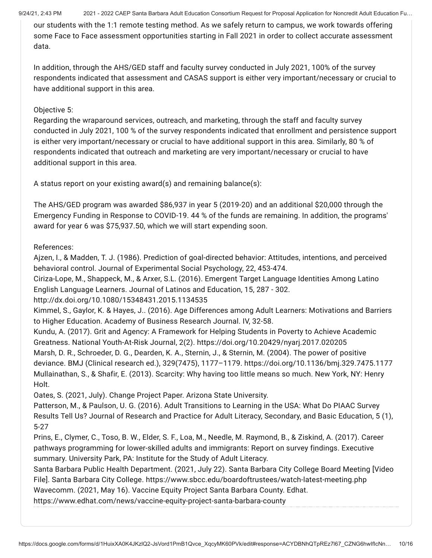9/24/21, 2:43 PM 2021 - 2022 CAEP Santa Barbara Adult Education Consortium Request for Proposal Application for Noncredit Adult Education Fu...

our students with the 1:1 remote testing method. As we safely return to campus, we work towards offering some Face to Face assessment opportunities starting in Fall 2021 in order to collect accurate assessment data.

In addition, through the AHS/GED staff and faculty survey conducted in July 2021, 100% of the survey respondents indicated that assessment and CASAS support is either very important/necessary or crucial to have additional support in this area.

## Objective 5:

Regarding the wraparound services, outreach, and marketing, through the staff and faculty survey conducted in July 2021, 100 % of the survey respondents indicated that enrollment and persistence support is either very important/necessary or crucial to have additional support in this area. Similarly, 80 % of respondents indicated that outreach and marketing are very important/necessary or crucial to have additional support in this area.

A status report on your existing award(s) and remaining balance(s):

The AHS/GED program was awarded \$86,937 in year 5 (2019-20) and an additional \$20,000 through the Emergency Funding in Response to COVID-19. 44 % of the funds are remaining. In addition, the programs' award for year 6 was \$75,937.50, which we will start expending soon.

# References:

Ajzen, I., & Madden, T. J. (1986). Prediction of goal-directed behavior: Attitudes, intentions, and perceived behavioral control. Journal of Experimental Social Psychology, 22, 453-474.

Ciriza-Lope, M., Shappeck, M., & Arxer, S.L. (2016). Emergent Target Language Identities Among Latino English Language Learners. Journal of Latinos and Education, 15, 287 - 302.

http://dx.doi.org/10.1080/15348431.2015.1134535

Kimmel, S., Gaylor, K. & Hayes, J.. (2016). Age Differences among Adult Learners: Motivations and Barriers to Higher Education. Academy of Business Research Journal. IV, 32-58.

Kundu, A. (2017). Grit and Agency: A Framework for Helping Students in Poverty to Achieve Academic Greatness. National Youth-At-Risk Journal, 2(2). https://doi.org/10.20429/nyarj.2017.020205 Marsh, D. R., Schroeder, D. G., Dearden, K. A., Sternin, J., & Sternin, M. (2004). The power of positive deviance. BMJ (Clinical research ed.), 329(7475), 1177–1179. https://doi.org/10.1136/bmj.329.7475.1177 Mullainathan, S., & Shafir, E. (2013). Scarcity: Why having too little means so much. New York, NY: Henry Holt.

Oates, S. (2021, July). Change Project Paper. Arizona State University.

Patterson, M., & Paulson, U. G. (2016). Adult Transitions to Learning in the USA: What Do PIAAC Survey Results Tell Us? Journal of Research and Practice for Adult Literacy, Secondary, and Basic Education, 5 (1), 5-27

Prins, E., Clymer, C., Toso, B. W., Elder, S. F., Loa, M., Needle, M. Raymond, B., & Ziskind, A. (2017). Career pathways programming for lower-skilled adults and immigrants: Report on survey findings. Executive summary. University Park, PA: Institute for the Study of Adult Literacy.

Santa Barbara Public Health Department. (2021, July 22). Santa Barbara City College Board Meeting [Video File]. Santa Barbara City College. https://www.sbcc.edu/boardoftrustees/watch-latest-meeting.php Wavecomm. (2021, May 16). Vaccine Equity Project Santa Barbara County. Edhat. https://www.edhat.com/news/vaccine-equity-project-santa-barbara-county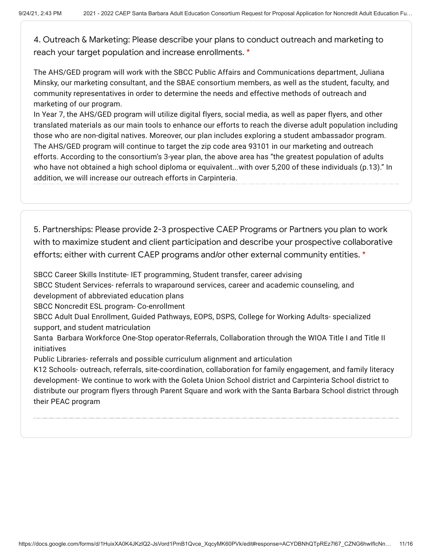4. Outreach & Marketing: Please describe your plans to conduct outreach and marketing to reach your target population and increase enrollments. \*

The AHS/GED program will work with the SBCC Public Affairs and Communications department, Juliana Minsky, our marketing consultant, and the SBAE consortium members, as well as the student, faculty, and community representatives in order to determine the needs and effective methods of outreach and marketing of our program.

In Year 7, the AHS/GED program will utilize digital flyers, social media, as well as paper flyers, and other translated materials as our main tools to enhance our efforts to reach the diverse adult population including those who are non-digital natives. Moreover, our plan includes exploring a student ambassador program. The AHS/GED program will continue to target the zip code area 93101 in our marketing and outreach efforts. According to the consortium's 3-year plan, the above area has "the greatest population of adults who have not obtained a high school diploma or equivalent...with over 5,200 of these individuals (p.13)." In addition, we will increase our outreach efforts in Carpinteria.

5. Partnerships: Please provide 2-3 prospective CAEP Programs or Partners you plan to work with to maximize student and client participation and describe your prospective collaborative efforts; either with current CAEP programs and/or other external community entities. \*

SBCC Career Skills Institute- IET programming, Student transfer, career advising

SBCC Student Services- referrals to wraparound services, career and academic counseling, and development of abbreviated education plans

SBCC Noncredit ESL program- Co-enrollment

SBCC Adult Dual Enrollment, Guided Pathways, EOPS, DSPS, College for Working Adults- specialized support, and student matriculation

Santa Barbara Workforce One-Stop operator-Referrals, Collaboration through the WIOA Title I and Title II initiatives

Public Libraries- referrals and possible curriculum alignment and articulation

K12 Schools- outreach, referrals, site-coordination, collaboration for family engagement, and family literacy development- We continue to work with the Goleta Union School district and Carpinteria School district to distribute our program flyers through Parent Square and work with the Santa Barbara School district through their PEAC program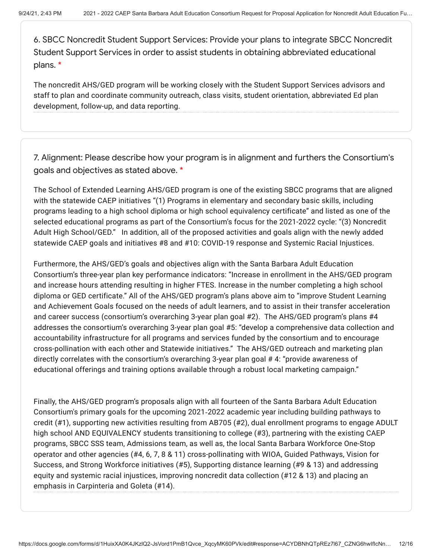6. SBCC Noncredit Student Support Services: Provide your plans to integrate SBCC Noncredit Student Support Services in order to assist students in obtaining abbreviated educational plans. \*

The noncredit AHS/GED program will be working closely with the Student Support Services advisors and staff to plan and coordinate community outreach, class visits, student orientation, abbreviated Ed plan development, follow-up, and data reporting.

7. Alignment: Please describe how your program is in alignment and furthers the Consortium's goals and objectives as stated above. \*

The School of Extended Learning AHS/GED program is one of the existing SBCC programs that are aligned with the statewide CAEP initiatives "(1) Programs in elementary and secondary basic skills, including programs leading to a high school diploma or high school equivalency certificate" and listed as one of the selected educational programs as part of the Consortium's focus for the 2021-2022 cycle: "(3) Noncredit Adult High School/GED." In addition, all of the proposed activities and goals align with the newly added statewide CAEP goals and initiatives #8 and #10: COVID-19 response and Systemic Racial Injustices.

Furthermore, the AHS/GED's goals and objectives align with the Santa Barbara Adult Education Consortium's three-year plan key performance indicators: "Increase in enrollment in the AHS/GED program and increase hours attending resulting in higher FTES. Increase in the number completing a high school diploma or GED certificate." All of the AHS/GED program's plans above aim to "improve Student Learning and Achievement Goals focused on the needs of adult learners, and to assist in their transfer acceleration and career success (consortium's overarching 3-year plan goal #2). The AHS/GED program's plans #4 addresses the consortium's overarching 3-year plan goal #5: "develop a comprehensive data collection and accountability infrastructure for all programs and services funded by the consortium and to encourage cross-pollination with each other and Statewide initiatives." The AHS/GED outreach and marketing plan directly correlates with the consortium's overarching 3-year plan goal # 4: "provide awareness of educational offerings and training options available through a robust local marketing campaign."

Finally, the AHS/GED program's proposals align with all fourteen of the Santa Barbara Adult Education Consortium's primary goals for the upcoming 2021‐2022 academic year including building pathways to credit (#1), supporting new activities resulting from AB705 (#2), dual enrollment programs to engage ADULT high school AND EQUIVALENCY students transitioning to college (#3), partnering with the existing CAEP programs, SBCC SSS team, Admissions team, as well as, the local Santa Barbara Workforce One-Stop operator and other agencies (#4, 6, 7, 8 & 11) cross-pollinating with WIOA, Guided Pathways, Vision for Success, and Strong Workforce initiatives (#5), Supporting distance learning (#9 & 13) and addressing equity and systemic racial injustices, improving noncredit data collection (#12 & 13) and placing an emphasis in Carpinteria and Goleta (#14).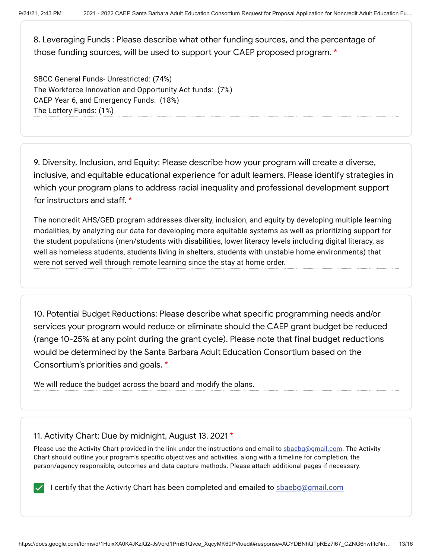8. Leveraging Funds : Please describe what other funding sources, and the percentage of those funding sources, will be used to support your CAEP proposed program. \*

SBCC General Funds- Unrestricted: (74%) The Workforce Innovation and Opportunity Act funds: (7%) CAEP Year 6, and Emergency Funds: (18%) The Lottery Funds: (1%)

9. Diversity, Inclusion, and Equity: Please describe how your program will create a diverse, inclusive, and equitable educational experience for adult learners. Please identify strategies in which your program plans to address racial inequality and professional development support for instructors and staff. \*

The noncredit AHS/GED program addresses diversity, inclusion, and equity by developing multiple learning modalities, by analyzing our data for developing more equitable systems as well as prioritizing support for the student populations (men/students with disabilities, lower literacy levels including digital literacy, as well as homeless students, students living in shelters, students with unstable home environments) that were not served well through remote learning since the stay at home order.

10. Potential Budget Reductions: Please describe what specific programming needs and/or services your program would reduce or eliminate should the CAEP grant budget be reduced (range 10-25% at any point during the grant cycle). Please note that final budget reductions would be determined by the Santa Barbara Adult Education Consortium based on the Consortium's priorities and goals. \*

We will reduce the budget across the board and modify the plans.

# 11. Activity Chart: Due by midnight, August 13, 2021 \*

Please use the Activity Chart provided in the link under the instructions and email to sbaebg@gmail.com. The Activity Chart should outline your program's specific objectives and activities, along with a timeline for completion, the person/agency responsible, outcomes and data capture methods. Please attach additional pages if necessary.

I certify that the Activity Chart has been completed and emailed to sbaebg@gmail.com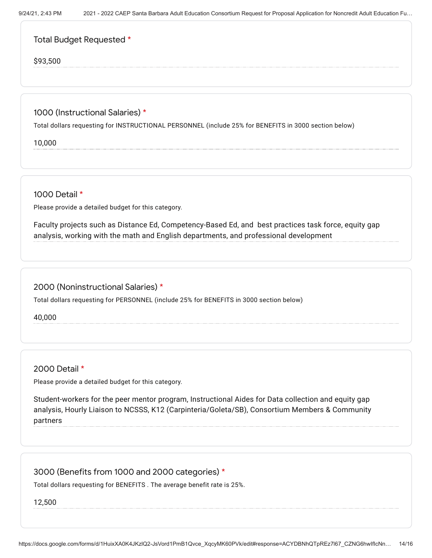| Total Budget Requested * |  |
|--------------------------|--|
|--------------------------|--|

\$93,500

## 1000 (Instructional Salaries) \*

Total dollars requesting for INSTRUCTIONAL PERSONNEL (include 25% for BENEFITS in 3000 section below)

10,000

1000 Detail \*

Please provide a detailed budget for this category.

Faculty projects such as Distance Ed, Competency-Based Ed, and best practices task force, equity gap analysis, working with the math and English departments, and professional development

## 2000 (Noninstructional Salaries) \*

Total dollars requesting for PERSONNEL (include 25% for BENEFITS in 3000 section below)

40,000

## 2000 Detail \*

Please provide a detailed budget for this category.

Student-workers for the peer mentor program, Instructional Aides for Data collection and equity gap analysis, Hourly Liaison to NCSSS, K12 (Carpinteria/Goleta/SB), Consortium Members & Community partners

## 3000 (Benefits from 1000 and 2000 categories) \*

Total dollars requesting for BENEFITS . The average benefit rate is 25%.

12,500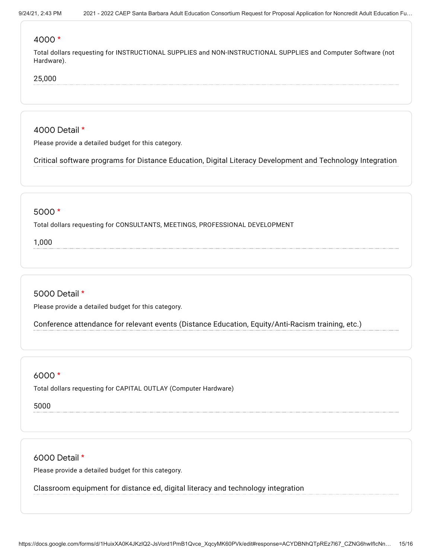#### 4000 \*

Total dollars requesting for INSTRUCTIONAL SUPPLIES and NON-INSTRUCTIONAL SUPPLIES and Computer Software (not Hardware).

### 25,000

4000 Detail \*

Please provide a detailed budget for this category.

Critical software programs for Distance Education, Digital Literacy Development and Technology Integration

#### 5000 \*

Total dollars requesting for CONSULTANTS, MEETINGS, PROFESSIONAL DEVELOPMENT

1,000

### 5000 Detail \*

Please provide a detailed budget for this category.

Conference attendance for relevant events (Distance Education, Equity/Anti-Racism training, etc.)

### 6000 \*

Total dollars requesting for CAPITAL OUTLAY (Computer Hardware)

5000

6000 Detail \*

Please provide a detailed budget for this category.

Classroom equipment for distance ed, digital literacy and technology integration